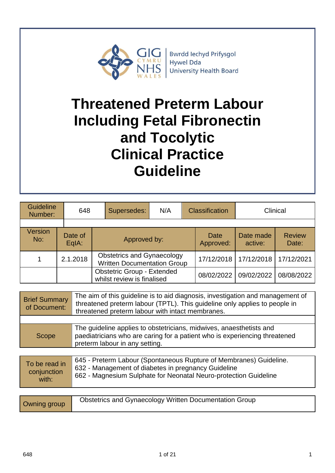

**Bwrdd lechyd Prifysgol** Hywel Dda **University Health Board** 

# **Threatened Preterm Labour Including Fetal Fibronectin and Tocolytic Clinical Practice Guideline**

| Guideline<br>Number: | 648                | Supersedes:  | N/A                                                                     |  | <b>Classification</b>    |                      | Clinical               |
|----------------------|--------------------|--------------|-------------------------------------------------------------------------|--|--------------------------|----------------------|------------------------|
|                      |                    |              |                                                                         |  |                          |                      |                        |
| Version<br>No:       | Date of<br>$EqA$ : | Approved by: |                                                                         |  | <b>Date</b><br>Approved: | Date made<br>active: | <b>Review</b><br>Date: |
|                      | 2.1.2018           |              | <b>Obstetrics and Gynaecology</b><br><b>Written Documentation Group</b> |  | 17/12/2018               | 17/12/2018           | 17/12/2021             |
|                      |                    |              | <b>Obstetric Group - Extended</b><br>whilst review is finalised         |  | 08/02/2022               | 09/02/2022           | 08/08/2022             |

| <b>Brief Summary</b><br>of Document: | The aim of this guideline is to aid diagnosis, investigation and management of<br>threatened preterm labour (TPTL). This guideline only applies to people in<br>threatened preterm labour with intact membranes. |
|--------------------------------------|------------------------------------------------------------------------------------------------------------------------------------------------------------------------------------------------------------------|
|                                      |                                                                                                                                                                                                                  |
| Scope                                | The guideline applies to obstetricians, midwives, anaesthetists and<br>paediatricians who are caring for a patient who is experiencing threatened<br>preterm labour in any setting.                              |
|                                      | CAE Drotorm Labour (Cnontangoug Dunturo of Mambronag) Cuidelina                                                                                                                                                  |

| 645 - Preterm Labour (Spontaneous Rupture of Membranes) Guideline.<br>To be read in<br>632 - Management of diabetes in pregnancy Guideline<br>conjunction<br>662 - Magnesium Sulphate for Neonatal Neuro-protection Guideline<br>with: |  |
|----------------------------------------------------------------------------------------------------------------------------------------------------------------------------------------------------------------------------------------|--|
|----------------------------------------------------------------------------------------------------------------------------------------------------------------------------------------------------------------------------------------|--|

| Owning group | <b>Obstetrics and Gynaecology Written Documentation Group</b> |
|--------------|---------------------------------------------------------------|
|--------------|---------------------------------------------------------------|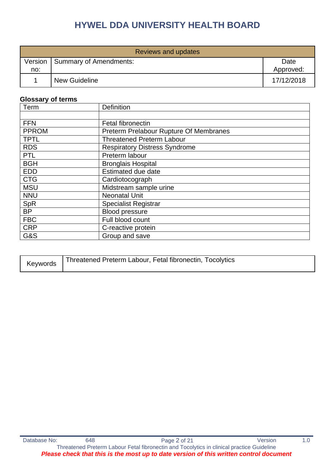| Reviews and updates |                        |                   |  |  |
|---------------------|------------------------|-------------------|--|--|
| Version<br>no:      | Summary of Amendments: | Date<br>Approved: |  |  |
|                     | <b>New Guideline</b>   | 17/12/2018        |  |  |

#### **Glossary of terms**

| Term         | <b>Definition</b>                      |  |  |
|--------------|----------------------------------------|--|--|
|              |                                        |  |  |
| <b>FFN</b>   | <b>Fetal fibronectin</b>               |  |  |
| <b>PPROM</b> | Preterm Prelabour Rupture Of Membranes |  |  |
| <b>TPTL</b>  | <b>Threatened Preterm Labour</b>       |  |  |
| <b>RDS</b>   | <b>Respiratory Distress Syndrome</b>   |  |  |
| <b>PTL</b>   | Preterm labour                         |  |  |
| <b>BGH</b>   | <b>Bronglais Hospital</b>              |  |  |
| <b>EDD</b>   | Estimated due date                     |  |  |
| <b>CTG</b>   | Cardiotocograph                        |  |  |
| <b>MSU</b>   | Midstream sample urine                 |  |  |
| <b>NNU</b>   | <b>Neonatal Unit</b>                   |  |  |
| SpR          | <b>Specialist Registrar</b>            |  |  |
| <b>BP</b>    | <b>Blood pressure</b>                  |  |  |
| <b>FBC</b>   | Full blood count                       |  |  |
| <b>CRP</b>   | C-reactive protein                     |  |  |
| G&S          | Group and save                         |  |  |

| Threatened Preterm Labour, Fetal fibronectin, Tocolytics<br>Keywords |  |
|----------------------------------------------------------------------|--|
|----------------------------------------------------------------------|--|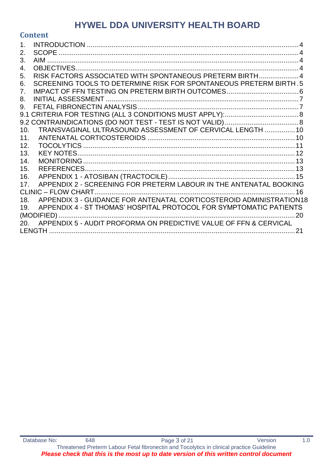### **Content**

| 2.             |                                                                     |     |
|----------------|---------------------------------------------------------------------|-----|
| 3.             |                                                                     |     |
| 4.             |                                                                     |     |
| 5.             | RISK FACTORS ASSOCIATED WITH SPONTANEOUS PRETERM BIRTH 4            |     |
| 6.             | SCREENING TOOLS TO DETERMINE RISK FOR SPONTANEOUS PRETERM BIRTH.5   |     |
| 7 <sub>1</sub> |                                                                     |     |
| 8.             |                                                                     |     |
| 9.             |                                                                     |     |
| 9.1            |                                                                     |     |
|                |                                                                     |     |
| 10.            | TRANSVAGINAL ULTRASOUND ASSESSMENT OF CERVICAL LENGTH  10           |     |
| 11.            |                                                                     |     |
| 12.            |                                                                     |     |
| 13.            |                                                                     |     |
| 14.            |                                                                     |     |
| 15.            |                                                                     |     |
| 16.            |                                                                     |     |
| 17.            | APPENDIX 2 - SCREENING FOR PRETERM LABOUR IN THE ANTENATAL BOOKING  |     |
|                |                                                                     | 16  |
| 18.            | APPENDIX 3 - GUIDANCE FOR ANTENATAL CORTICOSTEROID ADMINISTRATION18 |     |
| 19.            | APPENDIX 4 - ST THOMAS' HOSPITAL PROTOCOL FOR SYMPTOMATIC PATIENTS  |     |
|                |                                                                     | -20 |
| 20.            | APPENDIX 5 - AUDIT PROFORMA ON PREDICTIVE VALUE OF FFN & CERVICAL   |     |
|                |                                                                     | 21  |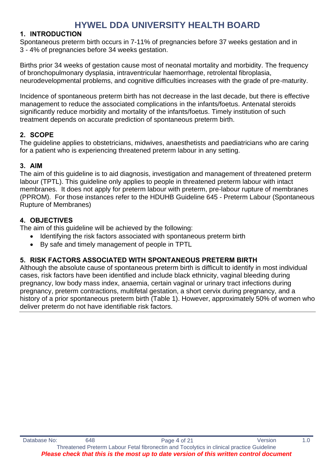### <span id="page-3-0"></span>**1. INTRODUCTION**

Spontaneous preterm birth occurs in 7-11% of pregnancies before 37 weeks gestation and in 3 - 4% of pregnancies before 34 weeks gestation.

Births prior 34 weeks of gestation cause most of neonatal mortality and morbidity. The frequency of bronchopulmonary dysplasia, intraventricular haemorrhage, retrolental fibroplasia, neurodevelopmental problems, and cognitive difficulties increases with the grade of pre-maturity.

Incidence of spontaneous preterm birth has not decrease in the last decade, but there is effective management to reduce the associated complications in the infants/foetus. Antenatal steroids significantly reduce morbidity and mortality of the infants/foetus. Timely institution of such treatment depends on accurate prediction of spontaneous preterm birth.

### <span id="page-3-1"></span>**2. SCOPE**

The guideline applies to obstetricians, midwives, anaesthetists and paediatricians who are caring for a patient who is experiencing threatened preterm labour in any setting.

#### <span id="page-3-2"></span>**3. AIM**

The aim of this guideline is to aid diagnosis, investigation and management of threatened preterm labour (TPTL). This guideline only applies to people in threatened preterm labour with intact membranes. It does not apply for preterm labour with preterm, pre-labour rupture of membranes (PPROM). For those instances refer to the HDUHB Guideline 645 - Preterm Labour (Spontaneous Rupture of Membranes)

### <span id="page-3-3"></span>**4. OBJECTIVES**

The aim of this guideline will be achieved by the following:

- Identifying the risk factors associated with spontaneous preterm birth
- By safe and timely management of people in TPTL

### <span id="page-3-4"></span>**5. RISK FACTORS ASSOCIATED WITH SPONTANEOUS PRETERM BIRTH**

Although the absolute cause of spontaneous preterm birth is difficult to identify in most individual cases, risk factors have been identified and include black ethnicity, vaginal bleeding during pregnancy, low body mass index, anaemia, certain vaginal or urinary tract infections during pregnancy, preterm contractions, multifetal gestation, a short cervix during pregnancy, and a history of a prior spontaneous preterm birth (Table 1). However, approximately 50% of women who deliver preterm do not have identifiable risk factors.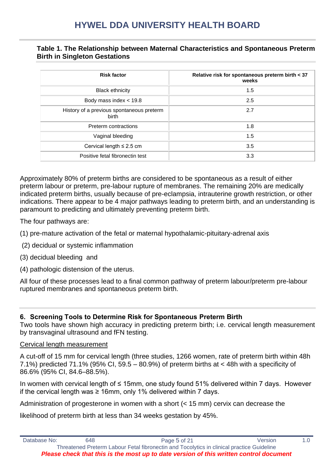#### **Table 1. The Relationship between Maternal Characteristics and Spontaneous Preterm Birth in Singleton Gestations**

| <b>Risk factor</b>                                 | Relative risk for spontaneous preterm birth < 37<br>weeks |
|----------------------------------------------------|-----------------------------------------------------------|
| <b>Black ethnicity</b>                             | 1.5                                                       |
| Body mass index $<$ 19.8                           | 2.5                                                       |
| History of a previous spontaneous preterm<br>birth | 2.7                                                       |
| Preterm contractions                               | 1.8                                                       |
| Vaginal bleeding                                   | 1.5                                                       |
| Cervical length $\leq$ 2.5 cm                      | 3.5                                                       |
| Positive fetal fibronectin test                    | 3.3                                                       |

Approximately 80% of preterm births are considered to be spontaneous as a result of either preterm labour or preterm, pre-labour rupture of membranes. The remaining 20% are medically indicated preterm births, usually because of pre-eclampsia, intrauterine growth restriction, or other indications. There appear to be 4 major pathways leading to preterm birth, and an understanding is paramount to predicting and ultimately preventing preterm birth.

The four pathways are:

- (1) pre-mature activation of the fetal or maternal hypothalamic-pituitary-adrenal axis
- (2) decidual or systemic inflammation
- (3) decidual bleeding and
- (4) pathologic distension of the uterus.

<span id="page-4-0"></span>All four of these processes lead to a final common pathway of preterm labour/preterm pre-labour ruptured membranes and spontaneous preterm birth.

#### **6. Screening Tools to Determine Risk for Spontaneous Preterm Birth**

Two tools have shown high accuracy in predicting preterm birth; i.e. cervical length measurement by transvaginal ultrasound and fFN testing.

#### Cervical length measurement

A cut-off of 15 mm for cervical length (three studies, 1266 women, rate of preterm birth within 48h 7.1%) predicted 71.1% (95% CI, 59.5 – 80.9%) of preterm births at < 48h with a specificity of 86.6% (95% CI, 84.6–88.5%).

In women with cervical length of ≤ 15mm, one study found 51% delivered within 7 days. However if the cervical length was ≥ 16mm, only 1% delivered within 7 days.

Administration of progesterone in women with a short (< 15 mm) cervix can decrease the

likelihood of preterm birth at less than 34 weeks gestation by 45%.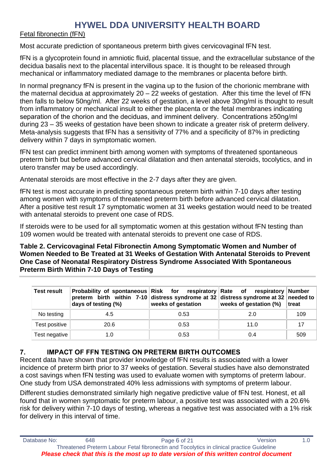#### Fetal fibronectin (fFN)

Most accurate prediction of spontaneous preterm birth gives cervicovaginal fFN test.

fFN is a glycoprotein found in amniotic fluid, placental tissue, and the extracellular substance of the decidua basalis next to the placental intervillous space. It is thought to be released through mechanical or inflammatory mediated damage to the membranes or placenta before birth.

In normal pregnancy fFN is present in the vagina up to the fusion of the chorionic membrane with the maternal decidua at approximately  $20 - 22$  weeks of gestation. After this time the level of fFN then falls to below 50ng/ml. After 22 weeks of gestation, a level above 30ng/ml is thought to result from inflammatory or mechanical insult to either the placenta or the fetal membranes indicating separation of the chorion and the deciduas, and imminent delivery. Concentrations ≥50ng/ml during 23 – 35 weeks of gestation have been shown to indicate a greater risk of preterm delivery. Meta-analysis suggests that fFN has a sensitivity of 77% and a specificity of 87% in predicting delivery within 7 days in symptomatic women.

fFN test can predict imminent birth among women with symptoms of threatened spontaneous preterm birth but before advanced cervical dilatation and then antenatal steroids, tocolytics, and in utero transfer may be used accordingly.

Antenatal steroids are most effective in the 2-7 days after they are given.

fFN test is most accurate in predicting spontaneous preterm birth within 7-10 days after testing among women with symptoms of threatened preterm birth before advanced cervical dilatation. After a positive test result 17 symptomatic women at 31 weeks gestation would need to be treated with antenatal steroids to prevent one case of RDS.

If steroids were to be used for all symptomatic women at this gestation without fFN testing than 109 women would be treated with antenatal steroids to prevent one case of RDS.

**Table 2. Cervicovaginal Fetal Fibronectin Among Symptomatic Women and Number of Women Needed to Be Treated at 31 Weeks of Gestation With Antenatal Steroids to Prevent One Case of Neonatal Respiratory Distress Syndrome Associated With Spontaneous Preterm Birth Within 7-10 Days of Testing**

| <b>Test result</b> | Probability of spontaneous Risk for respiratory Rate of respiratory Number<br>preterm birth within 7-10 distress syndrome at 32 distress syndrome at 32 needed to<br>days of testing (%) | weeks of gestation | weeks of gestation (%) | treat |
|--------------------|------------------------------------------------------------------------------------------------------------------------------------------------------------------------------------------|--------------------|------------------------|-------|
| No testing         | 4.5                                                                                                                                                                                      | 0.53               | 2.0                    | 109   |
| Test positive      | 20.6                                                                                                                                                                                     | 0.53               | 11.0                   | 17    |
| Test negative      | 1.0                                                                                                                                                                                      | 0.53               | 0.4                    | 509   |

### <span id="page-5-0"></span>**7. IMPACT OF FFN TESTING ON PRETERM BIRTH OUTCOMES**

Recent data have shown that provider knowledge of fFN results is associated with a lower incidence of preterm birth prior to 37 weeks of gestation. Several studies have also demonstrated a cost savings when fFN testing was used to evaluate women with symptoms of preterm labour. One study from USA demonstrated 40% less admissions with symptoms of preterm labour.

Different studies demonstrated similarly high negative predictive value of fFN test. Honest, et all found that in women symptomatic for preterm labour, a positive test was associated with a 20.6% risk for delivery within 7-10 days of testing, whereas a negative test was associated with a 1% risk for delivery in this interval of time.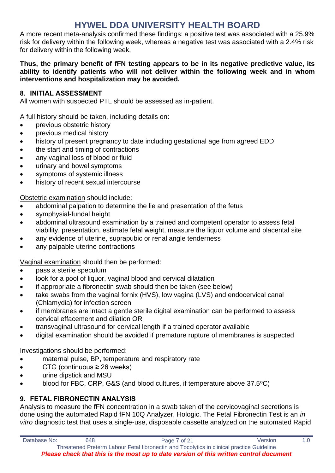A more recent meta-analysis confirmed these findings: a positive test was associated with a 25.9% risk for delivery within the following week, whereas a negative test was associated with a 2.4% risk for delivery within the following week.

#### **Thus, the primary benefit of fFN testing appears to be in its negative predictive value, its ability to identify patients who will not deliver within the following week and in whom interventions and hospitalization may be avoided.**

#### <span id="page-6-0"></span>**8. INITIAL ASSESSMENT**

All women with suspected PTL should be assessed as in-patient.

A full history should be taken, including details on:

- previous obstetric history
- previous medical history
- history of present pregnancy to date including gestational age from agreed EDD
- the start and timing of contractions
- any vaginal loss of blood or fluid
- urinary and bowel symptoms
- symptoms of systemic illness
- history of recent sexual intercourse

Obstetric examination should include:

- abdominal palpation to determine the lie and presentation of the fetus
- symphysial-fundal height
- abdominal ultrasound examination by a trained and competent operator to assess fetal viability, presentation, estimate fetal weight, measure the liquor volume and placental site
- any evidence of uterine, suprapubic or renal angle tenderness
- any palpable uterine contractions

Vaginal examination should then be performed:

- pass a sterile speculum
- look for a pool of liquor, vaginal blood and cervical dilatation
- if appropriate a fibronectin swab should then be taken (see below)
- take swabs from the vaginal fornix (HVS), low vagina (LVS) and endocervical canal (Chlamydia) for infection screen
- if membranes are intact a gentle sterile digital examination can be performed to assess cervical effacement and dilation OR
- transvaginal ultrasound for cervical length if a trained operator available
- digital examination should be avoided if premature rupture of membranes is suspected

Investigations should be performed:

- maternal pulse, BP, temperature and respiratory rate
- CTG (continuous ≥ 26 weeks)
- urine dipstick and MSU
- blood for FBC, CRP, G&S (and blood cultures, if temperature above 37.5°C)

### <span id="page-6-1"></span>**9. FETAL FIBRONECTIN ANALYSIS**

Analysis to measure the fFN concentration in a swab taken of the cervicovaginal secretions is done using the automated Rapid fFN 10Q Analyzer, Hologic. The Fetal Fibronectin Test is an *in vitro* diagnostic test that uses a single-use, disposable cassette analyzed on the automated Rapid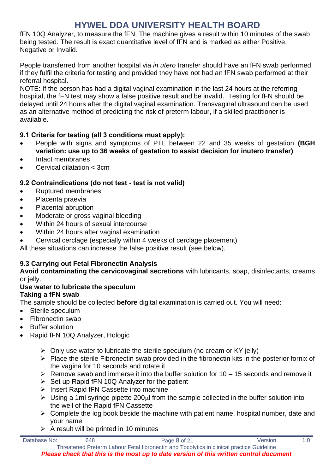fFN 10Q Analyzer, to measure the fFN. The machine gives a result within 10 minutes of the swab being tested. The result is exact quantitative level of fFN and is marked as either Positive, Negative or Invalid.

People transferred from another hospital via *in utero* transfer should have an fFN swab performed if they fulfil the criteria for testing and provided they have not had an fFN swab performed at their referral hospital.

NOTE: If the person has had a digital vaginal examination in the last 24 hours at the referring hospital, the fFN test may show a false positive result and be invalid. Testing for fFN should be delayed until 24 hours after the digital vaginal examination. Transvaginal ultrasound can be used as an alternative method of predicting the risk of preterm labour, if a skilled practitioner is available.

### <span id="page-7-0"></span>**9.1 Criteria for testing (all 3 conditions must apply):**

- People with signs and symptoms of PTL between 22 and 35 weeks of gestation **(BGH variation: use up to 36 weeks of gestation to assist decision for inutero transfer)**
- Intact membranes
- Cervical dilatation < 3cm

### <span id="page-7-1"></span>**9.2 Contraindications (do not test - test is not valid)**

- Ruptured membranes
- Placenta praevia
- Placental abruption
- Moderate or gross vaginal bleeding
- Within 24 hours of sexual intercourse
- Within 24 hours after vaginal examination
- Cervical cerclage (especially within 4 weeks of cerclage placement)

All these situations can increase the false positive result (see below).

### **9.3 Carrying out Fetal Fibronectin Analysis**

**Avoid contaminating the cervicovaginal secretions** with lubricants, soap, disinfectants, creams or jelly.

#### **Use water to lubricate the speculum Taking a fFN swab**

The sample should be collected **before** digital examination is carried out. You will need:

- Sterile speculum
- Fibronectin swab
- **Buffer solution**
- Rapid fFN 10Q Analyzer, Hologic
	- $\triangleright$  Only use water to lubricate the sterile speculum (no cream or KY jelly)
	- ➢ Place the sterile Fibronectin swab provided in the fibronectin kits in the posterior fornix of the vagina for 10 seconds and rotate it
	- $\triangleright$  Remove swab and immerse it into the buffer solution for 10 15 seconds and remove it
	- $\triangleright$  Set up Rapid fFN 10Q Analyzer for the patient
	- ➢ Insert Rapid fFN Cassette into machine
	- $\triangleright$  Using a 1ml syringe pipette 200 $\mu$ l from the sample collected in the buffer solution into the well of the Rapid fFN Cassette
	- $\triangleright$  Complete the log book beside the machine with patient name, hospital number, date and your name
	- $\triangleright$  A result will be printed in 10 minutes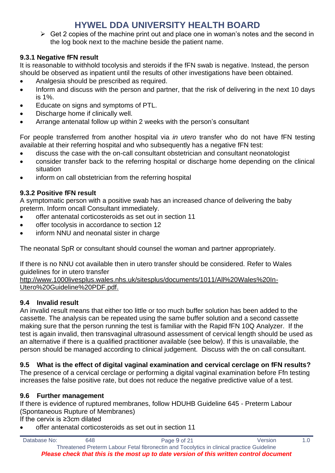$\triangleright$  Get 2 copies of the machine print out and place one in woman's notes and the second in the log book next to the machine beside the patient name.

### **9.3.1 Negative fFN result**

It is reasonable to withhold tocolysis and steroids if the fFN swab is negative. Instead, the person should be observed as inpatient until the results of other investigations have been obtained.

- Analgesia should be prescribed as required.
- Inform and discuss with the person and partner, that the risk of delivering in the next 10 days is 1%.
- Educate on signs and symptoms of PTL.
- Discharge home if clinically well.
- Arrange antenatal follow up within 2 weeks with the person's consultant

For people transferred from another hospital via *in utero* transfer who do not have fFN testing available at their referring hospital and who subsequently has a negative fFN test:

- discuss the case with the on-call consultant obstetrician and consultant neonatologist
- consider transfer back to the referring hospital or discharge home depending on the clinical situation
- inform on call obstetrician from the referring hospital

### **9.3.2 Positive fFN result**

A symptomatic person with a positive swab has an increased chance of delivering the baby preterm. Inform oncall Consultant immediately.

- offer antenatal corticosteroids as set out in section 11
- offer tocolysis in accordance to section 12
- inform NNU and neonatal sister in charge

The neonatal SpR or consultant should counsel the woman and partner appropriately.

If there is no NNU cot available then in utero transfer should be considered. Refer to Wales guidelines for in utero transfer

http://www.1000livesplus.wales.nhs.uk/sitesplus/documents/1011/All%20Wales%20In-Utero%20Guideline%20PDF.pdf.

### **9.4 Invalid result**

An invalid result means that either too little or too much buffer solution has been added to the cassette. The analysis can be repeated using the same buffer solution and a second cassette making sure that the person running the test is familiar with the Rapid fFN 10Q Analyzer. If the test is again invalid, then transvaginal ultrasound assessment of cervical length should be used as an alternative if there is a qualified practitioner available (see below). If this is unavailable, the person should be managed according to clinical judgement. Discuss with the on call consultant.

### **9.5 What is the effect of digital vaginal examination and cervical cerclage on fFN results?**

The presence of a cervical cerclage or performing a digital vaginal examination before Ffn testing increases the false positive rate, but does not reduce the negative predictive value of a test.

### **9.6 Further management**

If there is evidence of ruptured membranes, follow HDUHB Guideline 645 - Preterm Labour (Spontaneous Rupture of Membranes)

If the cervix is ≥3cm dilated

• offer antenatal corticosteroids as set out in section 11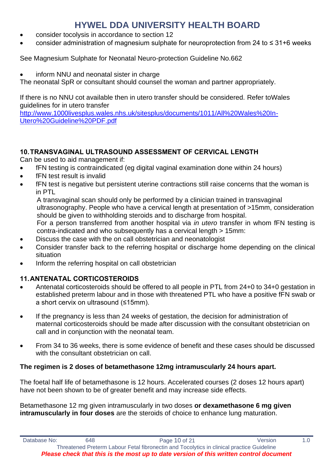- consider tocolysis in accordance to section 12
- consider administration of magnesium sulphate for neuroprotection from 24 to ≤ 31+6 weeks

See Magnesium Sulphate for Neonatal Neuro-protection Guideline No.662

inform NNU and neonatal sister in charge

The neonatal SpR or consultant should counsel the woman and partner appropriately.

If there is no NNU cot available then in utero transfer should be considered. Refer toWales guidelines for in utero transfer

[http://www.1000livesplus.wales.nhs.uk/sitesplus/documents/1011/All%20Wales%20In-](http://www.1000livesplus.wales.nhs.uk/sitesplus/documents/1011/All%20Wales%20In-Utero%20Guideline%20PDF.pdf)[Utero%20Guideline%20PDF.pdf](http://www.1000livesplus.wales.nhs.uk/sitesplus/documents/1011/All%20Wales%20In-Utero%20Guideline%20PDF.pdf)

### <span id="page-9-0"></span>**10.TRANSVAGINAL ULTRASOUND ASSESSMENT OF CERVICAL LENGTH**

Can be used to aid management if:

- fFN testing is contraindicated (eg digital vaginal examination done within 24 hours)
- fFN test result is invalid
- fFN test is negative but persistent uterine contractions still raise concerns that the woman is in PTL

A transvaginal scan should only be performed by a clinician trained in transvaginal ultrasonography. People who have a cervical length at presentation of >15mm, consideration should be given to withholding steroids and to discharge from hospital.

For a person transferred from another hospital via *in utero* transfer in whom fFN testing is contra-indicated and who subsequently has a cervical length > 15mm:

- Discuss the case with the on call obstetrician and neonatologist
- Consider transfer back to the referring hospital or discharge home depending on the clinical situation
- Inform the referring hospital on call obstetrician

### <span id="page-9-1"></span>**11.ANTENATAL CORTICOSTEROIDS**

- Antenatal corticosteroids should be offered to all people in PTL from 24+0 to 34+0 gestation in established preterm labour and in those with threatened PTL who have a positive fFN swab or a short cervix on ultrasound (≤15mm).
- If the pregnancy is less than 24 weeks of gestation, the decision for administration of maternal corticosteroids should be made after discussion with the consultant obstetrician on call and in conjunction with the neonatal team.
- From 34 to 36 weeks, there is some evidence of benefit and these cases should be discussed with the consultant obstetrician on call.

### **The regimen is 2 doses of betamethasone 12mg intramuscularly 24 hours apart.**

The foetal half life of betamethasone is 12 hours. Accelerated courses (2 doses 12 hours apart) have not been shown to be of greater benefit and may increase side effects.

Betamethasone 12 mg given intramuscularly in two doses **or dexamethasone 6 mg given intramuscularly in four doses** are the steroids of choice to enhance lung maturation.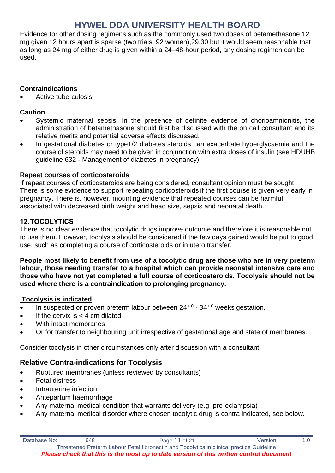Evidence for other dosing regimens such as the commonly used two doses of betamethasone 12 mg given 12 hours apart is sparse (two trials, 92 women),29,30 but it would seem reasonable that as long as 24 mg of either drug is given within a 24–48-hour period, any dosing regimen can be used.

### **Contraindications**

• Active tuberculosis

### **Caution**

- Systemic maternal sepsis. In the presence of definite evidence of chorioamnionitis, the administration of betamethasone should first be discussed with the on call consultant and its relative merits and potential adverse effects discussed.
- In gestational diabetes or type1/2 diabetes steroids can exacerbate hyperglycaemia and the course of steroids may need to be given in conjunction with extra doses of insulin (see HDUHB guideline 632 - Management of diabetes in pregnancy).

### **Repeat courses of corticosteroids**

If repeat courses of corticosteroids are being considered, consultant opinion must be sought. There is some evidence to support repeating corticosteroids if the first course is given very early in pregnancy. There is, however, mounting evidence that repeated courses can be harmful, associated with decreased birth weight and head size, sepsis and neonatal death.

### <span id="page-10-0"></span>**12.TOCOLYTICS**

There is no clear evidence that tocolytic drugs improve outcome and therefore it is reasonable not to use them. However, tocolysis should be considered if the few days gained would be put to good use, such as completing a course of corticosteroids or in utero transfer.

**People most likely to benefit from use of a tocolytic drug are those who are in very preterm labour, those needing transfer to a hospital which can provide neonatal intensive care and those who have not yet completed a full course of corticosteroids. Tocolysis should not be used where there is a contraindication to prolonging pregnancy.**

### **Tocolysis is indicated**

- In suspected or proven preterm labour between  $24^{+0}$   $34^{+0}$  weeks gestation.
- If the cervix is  $<$  4 cm dilated
- With intact membranes
- Or for transfer to neighbouring unit irrespective of gestational age and state of membranes.

Consider tocolysis in other circumstances only after discussion with a consultant.

### **Relative Contra-indications for Tocolysis**

- Ruptured membranes (unless reviewed by consultants)
- **Fetal distress**
- Intrauterine infection
- Antepartum haemorrhage
- Any maternal medical condition that warrants delivery (e.g. pre-eclampsia)
- Any maternal medical disorder where chosen tocolytic drug is contra indicated, see below.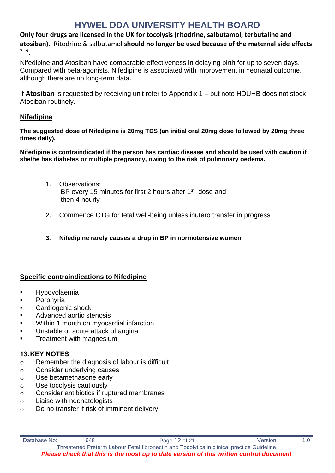**Only four drugs are licensed in the UK for tocolysis (ritodrine, salbutamol, terbutaline and atosiban).** Ritodrine & salbutamol **should no longer be used because of the maternal side effects 7 - 9 .**

Nifedipine and Atosiban have comparable effectiveness in delaying birth for up to seven days. Compared with beta-agonists, Nifedipine is associated with improvement in neonatal outcome, although there are no long-term data.

If **Atosiban** is requested by receiving unit refer to Appendix 1 – but note HDUHB does not stock Atosiban routinely.

#### **Nifedipine**

**The suggested dose of Nifedipine is 20mg TDS (an initial oral 20mg dose followed by 20mg three times daily).**

**Nifedipine is contraindicated if the person has cardiac disease and should be used with caution if she/he has diabetes or multiple pregnancy, owing to the risk of pulmonary oedema.**

- 1. Observations: BP every 15 minutes for first 2 hours after 1<sup>st</sup> dose and then 4 hourly 2. Commence CTG for fetal well-being unless inutero transfer in progress
- **3. Nifedipine rarely causes a drop in BP in normotensive women**

### **Specific contraindications to Nifedipine**

- **Hypovolaemia**
- Porphyria
- Cardiogenic shock
- Advanced aortic stenosis
- Within 1 month on myocardial infarction
- Unstable or acute attack of angina
- **Treatment with magnesium**

### <span id="page-11-0"></span>**13.KEY NOTES**

- o Remember the diagnosis of labour is difficult
- o Consider underlying causes
- o Use betamethasone early
- o Use tocolysis cautiously
- o Consider antibiotics if ruptured membranes
- o Liaise with neonatologists
- o Do no transfer if risk of imminent delivery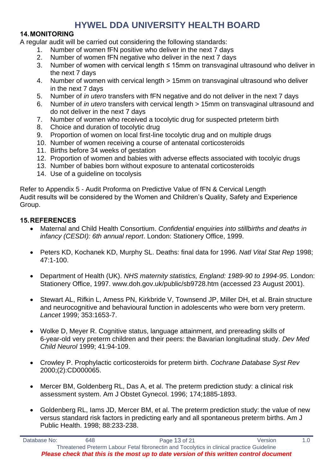#### <span id="page-12-0"></span>**14.MONITORING**

A regular audit will be carried out considering the following standards:

- 1. Number of women fFN positive who deliver in the next 7 days
- 2. Number of women fFN negative who deliver in the next 7 days
- 3. Number of women with cervical length ≤ 15mm on transvaginal ultrasound who deliver in the next 7 days
- 4. Number of women with cervical length > 15mm on transvaginal ultrasound who deliver in the next 7 days
- 5. Number of *in utero* transfers with fFN negative and do not deliver in the next 7 days
- 6. Number of *in utero* transfers with cervical length > 15mm on transvaginal ultrasound and do not deliver in the next 7 days
- 7. Number of women who received a tocolytic drug for suspected prteterm birth
- 8. Choice and duration of tocolytic drug
- 9. Proportion of women on local first-line tocolytic drug and on multiple drugs
- 10. Number of women receiving a course of antenatal corticosteroids
- 11. Births before 34 weeks of gestation
- 12. Proportion of women and babies with adverse effects associated with tocolyic drugs
- 13. Number of babies born without exposure to antenatal corticosteroids
- 14. Use of a guideline on tocolysis

Refer to Appendix 5 - Audit Proforma on Predictive Value of fFN & Cervical Length Audit results will be considered by the Women and Children's Quality, Safety and Experience Group.

#### <span id="page-12-1"></span>**15.REFERENCES**

- Maternal and Child Health Consortium. *Confidential enquiries into stillbirths and deaths in infancy (CESDI): 6th annual report*. London: Stationery Office, 1999.
- Peters KD, Kochanek KD, Murphy SL. Deaths: final data for 1996. *Natl Vital Stat Rep* 1998; 47:1-100.
- Department of Health (UK). *NHS maternity statistics, England: 1989-90 to 1994-95*. London: Stationery Office, 1997. www.doh.gov.uk/public/sb9728.htm (accessed 23 August 2001).
- Stewart AL, Rifkin L, Amess PN, Kirkbride V, Townsend JP, Miller DH, et al. Brain structure and neurocognitive and behavioural function in adolescents who were born very preterm. *Lancet* 1999; 353:1653-7.
- Wolke D, Meyer R. Cognitive status, language attainment, and prereading skills of 6-year-old very preterm children and their peers: the Bavarian longitudinal study. *Dev Med Child Neurol* 1999; 41:94-109.
- Crowley P. Prophylactic corticosteroids for preterm birth. *Cochrane Database Syst Rev*  2000;(2):CD000065.
- Mercer BM, Goldenberg RL, Das A, et al. The preterm prediction study: a clinical risk assessment system. Am J Obstet Gynecol. 1996; 174;1885-1893.
- Goldenberg RL, Iams JD, Mercer BM, et al. The preterm prediction study: the value of new versus standard risk factors in predicting early and all spontaneous preterm births. Am J Public Health. 1998; 88:233-238.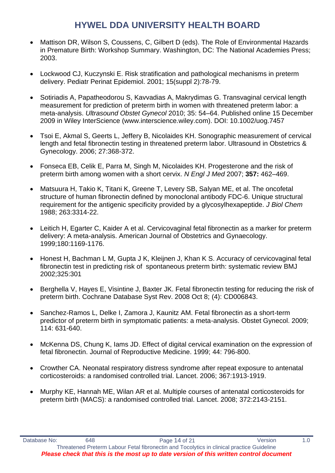- Mattison DR, Wilson S, Coussens, C, Gilbert D (eds). The Role of Environmental Hazards in Premature Birth: Workshop Summary. Washington, DC: The National Academies Press; 2003.
- Lockwood CJ, Kuczynski E. Risk stratification and pathological mechanisms in preterm delivery. Pediatr Perinat Epidemiol. 2001; 15(suppl 2):78-79.
- Sotiriadis A, Papatheodorou S, Kavvadias A, Makrydimas G. Transvaginal cervical length measurement for prediction of preterm birth in women with threatened preterm labor: a meta-analysis. *Ultrasound Obstet Gynecol* 2010; 35: 54–64. Published online 15 December 2009 in Wiley InterScience (www.interscience.wiley.com). DOI: 10.1002/uog.7457
- Tsoi E, Akmal S, Geerts L, Jeffery B, Nicolaides KH. Sonographic measurement of cervical length and fetal fibronectin testing in threatened preterm labor. Ultrasound in Obstetrics & Gynecology. 2006; 27:368-372.
- Fonseca EB, Celik E, Parra M, Singh M, Nicolaides KH. Progesterone and the risk of preterm birth among women with a short cervix. *N Engl J Med* 2007; **357:** 462–469.
- Matsuura H, Takio K, Titani K, Greene T, Levery SB, Salyan ME, et al. The oncofetal structure of human fibronectin defined by monoclonal antibody FDC-6. Unique structural requirement for the antigenic specificity provided by a glycosylhexapeptide. *J Biol Chem*  1988; 263:3314-22.
- Leitich H, Egarter C, Kaider A et al. Cervicovaginal fetal fibronectin as a marker for preterm delivery: A meta-analysis. American Journal of Obstetrics and Gynaecology. 1999;180:1169-1176.
- Honest H, Bachman L M, Gupta J K, Kleijnen J, Khan K S. Accuracy of cervicovaginal fetal fibronectin test in predicting risk of spontaneous preterm birth: systematic review BMJ 2002;325:301
- Berghella V, Hayes E, Visintine J, Baxter JK. Fetal fibronectin testing for reducing the risk of preterm birth. Cochrane Database Syst Rev. 2008 Oct 8; (4): CD006843.
- Sanchez-Ramos L, Delke I, Zamora J, Kaunitz AM. Fetal fibronectin as a short-term predictor of preterm birth in symptomatic patients: a meta-analysis. Obstet Gynecol. 2009; 114: 631-640.
- McKenna DS, Chung K, Iams JD. Effect of digital cervical examination on the expression of fetal fibronectin. Journal of Reproductive Medicine. 1999; 44: 796-800.
- Crowther CA. Neonatal respiratory distress syndrome after repeat exposure to antenatal corticosteroids: a randomised controlled trial. Lancet. 2006; 367:1913-1919.
- Murphy KE, Hannah ME, Wilan AR et al. Multiple courses of antenatal corticosteroids for preterm birth (MACS): a randomised controlled trial. Lancet. 2008; 372:2143-2151.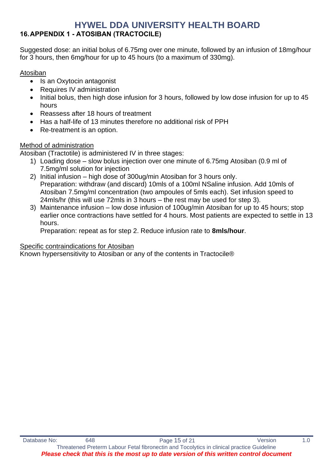### <span id="page-14-0"></span>**16.APPENDIX 1 - ATOSIBAN (TRACTOCILE)**

Suggested dose: an initial bolus of 6.75mg over one minute, followed by an infusion of 18mg/hour for 3 hours, then 6mg/hour for up to 45 hours (to a maximum of 330mg).

### Atosiban

- Is an Oxytocin antagonist
- Requires IV administration
- Initial bolus, then high dose infusion for 3 hours, followed by low dose infusion for up to 45 hours
- Reassess after 18 hours of treatment
- Has a half-life of 13 minutes therefore no additional risk of PPH
- Re-treatment is an option.

### Method of administration

Atosiban (Tractotile) is administered IV in three stages:

- 1) Loading dose slow bolus injection over one minute of 6.75mg Atosiban (0.9 ml of 7.5mg/ml solution for injection
- 2) Initial infusion high dose of 300ug/min Atosiban for 3 hours only. Preparation: withdraw (and discard) 10mls of a 100ml NSaline infusion. Add 10mls of Atosiban 7.5mg/ml concentration (two ampoules of 5mls each). Set infusion speed to 24mls/hr (this will use 72mls in 3 hours – the rest may be used for step 3).
- 3) Maintenance infusion low dose infusion of 100ug/min Atosiban for up to 45 hours; stop earlier once contractions have settled for 4 hours. Most patients are expected to settle in 13 hours.

Preparation: repeat as for step 2. Reduce infusion rate to **8mls/hour**.

### Specific contraindications for Atosiban

Known hypersensitivity to Atosiban or any of the contents in Tractocile®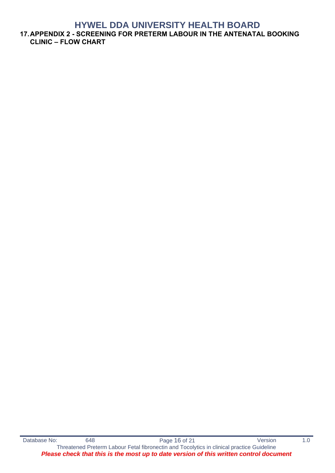<span id="page-15-0"></span>**17.APPENDIX 2 - SCREENING FOR PRETERM LABOUR IN THE ANTENATAL BOOKING CLINIC – FLOW CHART**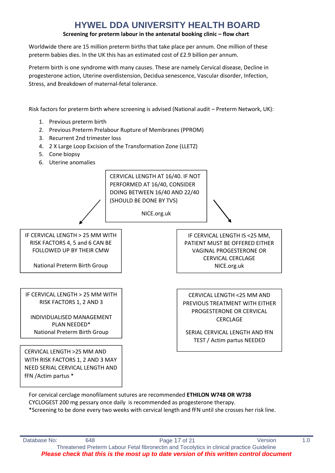#### **Screening for preterm labour in the antenatal booking clinic – flow chart**

Worldwide there are 15 million preterm births that take place per annum. One million of these preterm babies dies. In the UK this has an estimated cost of £2.9 billion per annum.

Preterm birth is one syndrome with many causes. These are namely Cervical disease, Decline in progesterone action, Uterine overdistension, Decidua senescence, Vascular disorder, Infection, Stress, and Breakdown of maternal-fetal tolerance.

Risk factors for preterm birth where screening is advised (National audit – Preterm Network, UK):

- 1. Previous preterm birth
- 2. Previous Preterm Prelabour Rupture of Membranes (PPROM)
- 3. Recurrent 2nd trimester loss
- 4. 2 X Large Loop Excision of the Transformation Zone (LLETZ)
- 5. Cone biopsy
- 6. Uterine anomalies

CERVICAL LENGTH AT 16/40. IF NOT PERFORMED AT 16/40, CONSIDER DOING BETWEEN 16/40 AND 22/40 (SHOULD BE DONE BY TVS)

NICE.org.uk

RISK FACTORS 4, 5 and 6 CAN BE FOLLOWED UP BY THEIR CMW

National Preterm Birth Group

IF CERVICAL LENGTH > 25 MM WITH RISK FACTORS 1, 2 AND 3

INDIVIDUALISED MANAGEMENT PLAN NEEDED\* National Preterm Birth Group

VAGINAL PROGESTERONE OR CERVICAL CERCLAGE NICE.org.uk

IF CERVICAL LENGTH IS <25 MM, PATIENT MUST BE OFFERED EITHER

CERVICAL LENGTH <25 MM AND PREVIOUS TREATMENT WITH EITHER PROGESTERONE OR CERVICAL CERCLAGE

SERIAL CERVICAL LENGTH AND fFN TEST / Actim partus NEEDED

CERVICAL LENGTH >25 MM AND WITH RISK FACTORS 1, 2 AND 3 MAY NEED SERIAL CERVICAL LENGTH AND fFN /Actim partus \*

For cervical cerclage monofilament sutures are recommended **ETHILON W748 OR W738** CYCLOGEST 200 mg pessary once daily is recommended as progesterone therapy. \*Screening to be done every two weeks with cervical length and fFN until she crosses her risk line.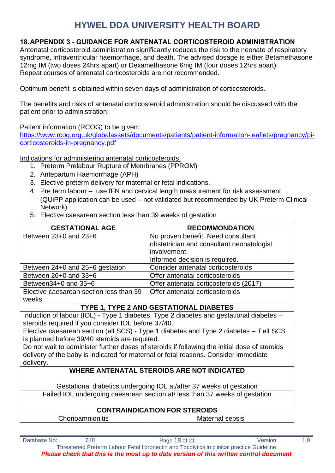### <span id="page-17-0"></span>**18.APPENDIX 3 - GUIDANCE FOR ANTENATAL CORTICOSTEROID ADMINISTRATION**

Antenatal corticosteroid administration significantly reduces the risk to the neonate of respiratory syndrome, intraventricular haemorrhage, and death. The advised dosage is either Betamethasone 12mg IM (two doses 24hrs apart) or Dexamethasone 6mg IM (four doses 12hrs apart). Repeat courses of antenatal corticosteroids are not recommended.

Optimum benefit is obtained within seven days of administration of corticosteroids.

The benefits and risks of antenatal corticosteroid administration should be discussed with the patient prior to administration.

Patient information (RCOG) to be given:

[https://www.rcog.org.uk/globalassets/documents/patients/patient-information-leaflets/pregnancy/pi](https://www.rcog.org.uk/globalassets/documents/patients/patient-information-leaflets/pregnancy/pi-corticosteroids-in-pregnancy.pdf)[corticosteroids-in-pregnancy.pdf](https://www.rcog.org.uk/globalassets/documents/patients/patient-information-leaflets/pregnancy/pi-corticosteroids-in-pregnancy.pdf)

Indications for administering antenatal corticosteroids:

- 1. Preterm Prelabour Rupture of Membranes (PPROM)
- 2. Antepartum Haemorrhage (APH)
- 3. Elective preterm delivery for maternal or fetal indications.
- 4. Pre term labour use fFN and cervical length measurement for risk assessment (QUiPP application can be used – not validated but recommended by UK Preterm Clinical Network)
- 5. Elective caesarean section less than 39 weeks of gestation

| <b>GESTATIONAL AGE</b>                                                                | <b>RECOMMONDATION</b>                                                                         |  |  |  |
|---------------------------------------------------------------------------------------|-----------------------------------------------------------------------------------------------|--|--|--|
| Between 23+0 and 23+6                                                                 | No proven benefit. Need consultant                                                            |  |  |  |
|                                                                                       | obstetrician and consultant neonatologist                                                     |  |  |  |
|                                                                                       | involvement.                                                                                  |  |  |  |
|                                                                                       | Informed decision is required.                                                                |  |  |  |
| Between 24+0 and 25+6 gestation                                                       | Consider antenatal corticosteroids                                                            |  |  |  |
| Between 26+0 and 33+6                                                                 | Offer antenatal corticosteroids                                                               |  |  |  |
| Between $34+0$ and $35+6$                                                             | Offer antenatal corticosteroids (2017)                                                        |  |  |  |
| Elective caesarean section less than 39                                               | Offer antenatal corticosteroids                                                               |  |  |  |
| weeks                                                                                 |                                                                                               |  |  |  |
|                                                                                       | TYPE 1, TYPE 2 AND GESTATIONAL DIABETES                                                       |  |  |  |
|                                                                                       | Induction of labour (IOL) - Type 1 diabetes, Type 2 diabetes and gestational diabetes -       |  |  |  |
| steroids required if you consider IOL before 37/40.                                   |                                                                                               |  |  |  |
| Elective caesarean section (elLSCS) - Type 1 diabetes and Type 2 diabetes – if elLSCS |                                                                                               |  |  |  |
| is planned before 39/40 steroids are required.                                        |                                                                                               |  |  |  |
|                                                                                       | Do not wait to administer further doses of steroids if following the initial dose of steroids |  |  |  |
| delivery of the baby is indicated for maternal or fetal reasons. Consider immediate   |                                                                                               |  |  |  |
| delivery.                                                                             |                                                                                               |  |  |  |
| <b>WHERE ANTENATAL STEROIDS ARE NOT INDICATED</b>                                     |                                                                                               |  |  |  |
|                                                                                       | Gestational diabetics undergoing IOL at/after 37 weeks of gestation                           |  |  |  |
| Failed IOL undergoing caesarean section at/ less than 37 weeks of gestation           |                                                                                               |  |  |  |
|                                                                                       |                                                                                               |  |  |  |
|                                                                                       | <b>CONTRAINDICATION FOR STEROIDS</b>                                                          |  |  |  |
| Chorioamnionitis<br>Maternal sepsis                                                   |                                                                                               |  |  |  |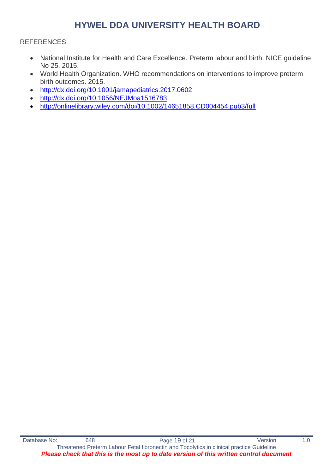#### **REFERENCES**

- National Institute for Health and Care Excellence. Preterm labour and birth. NICE guideline No 25. 2015.
- World Health Organization. WHO recommendations on interventions to improve preterm birth outcomes. 2015.
- <http://dx.doi.org/10.1001/jamapediatrics.2017.0602>
- <http://dx.doi.org/10.1056/NEJMoa1516783>
- <http://onlinelibrary.wiley.com/doi/10.1002/14651858.CD004454.pub3/full>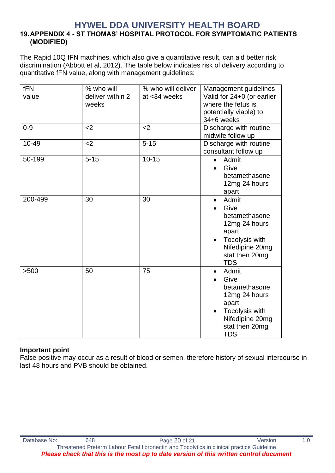#### <span id="page-19-0"></span>**HYWEL DDA UNIVERSITY HEALTH BOARD 19.APPENDIX 4 - ST THOMAS' HOSPITAL PROTOCOL FOR SYMPTOMATIC PATIENTS (MODIFIED)**

The Rapid 10Q fFN machines, which also give a quantitative result, can aid better risk discrimination (Abbott et al, 2012). The table below indicates risk of delivery according to quantitative fFN value, along with management guidelines:

| fFN<br>value | % who will<br>deliver within 2<br>weeks | % who will deliver<br>at <34 weeks | Management guidelines<br>Valid for 24+0 (or earlier<br>where the fetus is<br>potentially viable) to<br>34+6 weeks                          |
|--------------|-----------------------------------------|------------------------------------|--------------------------------------------------------------------------------------------------------------------------------------------|
| $0 - 9$      | $2$                                     | $2$                                | Discharge with routine<br>midwife follow up                                                                                                |
| 10-49        | $<$ 2                                   | $5 - 15$                           | Discharge with routine<br>consultant follow up                                                                                             |
| 50-199       | $5 - 15$                                | $10 - 15$                          | Admit<br>$\bullet$<br>Give<br>betamethasone<br>12mg 24 hours<br>apart                                                                      |
| 200-499      | 30                                      | 30                                 | Admit<br>$\bullet$<br>Give<br>betamethasone<br>12mg 24 hours<br>apart<br>Tocolysis with<br>Nifedipine 20mg<br>stat then 20mg<br><b>TDS</b> |
| >500         | 50                                      | 75                                 | Admit<br>Give<br>betamethasone<br>12mg 24 hours<br>apart<br>Tocolysis with<br>Nifedipine 20mg<br>stat then 20mg<br><b>TDS</b>              |

### **Important point**

False positive may occur as a result of blood or semen, therefore history of sexual intercourse in last 48 hours and PVB should be obtained.